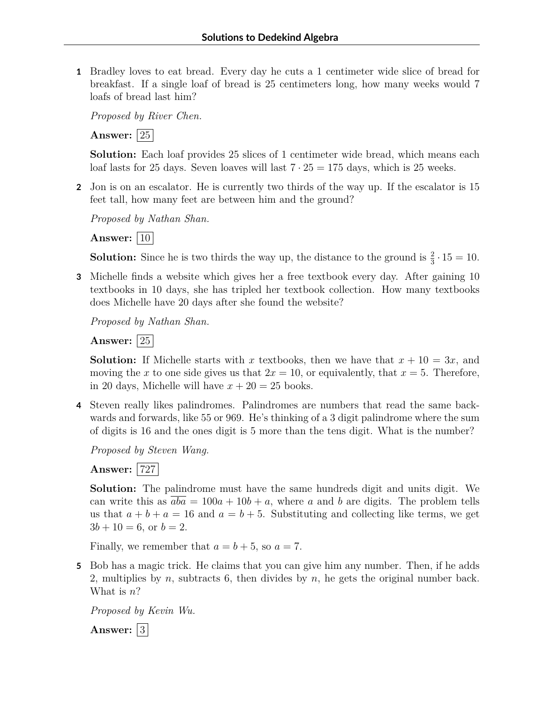**1** Bradley loves to eat bread. Every day he cuts a 1 centimeter wide slice of bread for breakfast. If a single loaf of bread is 25 centimeters long, how many weeks would 7 loafs of bread last him?

*Proposed by River Chen.*

**Answer:** 25

**Solution:** Each loaf provides 25 slices of 1 centimeter wide bread, which means each loaf lasts for 25 days. Seven loaves will last  $7 \cdot 25 = 175$  days, which is 25 weeks.

**2** Jon is on an escalator. He is currently two thirds of the way up. If the escalator is 15 feet tall, how many feet are between him and the ground?

*Proposed by Nathan Shan.*

**Answer:** |10|

**Solution:** Since he is two thirds the way up, the distance to the ground is  $\frac{2}{3} \cdot 15 = 10$ .

**3** Michelle finds a website which gives her a free textbook every day. After gaining 10 textbooks in 10 days, she has tripled her textbook collection. How many textbooks does Michelle have 20 days after she found the website?

*Proposed by Nathan Shan.*

**Answer:** 25

**Solution:** If Michelle starts with *x* textbooks, then we have that  $x + 10 = 3x$ , and moving the *x* to one side gives us that  $2x = 10$ , or equivalently, that  $x = 5$ . Therefore, in 20 days, Michelle will have  $x + 20 = 25$  books.

**4** Steven really likes palindromes. Palindromes are numbers that read the same backwards and forwards, like 55 or 969. He's thinking of a 3 digit palindrome where the sum of digits is 16 and the ones digit is 5 more than the tens digit. What is the number?

*Proposed by Steven Wang.*

**Answer:** 727

**Solution:** The palindrome must have the same hundreds digit and units digit. We can write this as  $\overline{aba} = 100a + 10b + a$ , where *a* and *b* are digits. The problem tells us that  $a + b + a = 16$  and  $a = b + 5$ . Substituting and collecting like terms, we get  $3b + 10 = 6$ , or  $b = 2$ .

Finally, we remember that  $a = b + 5$ , so  $a = 7$ .

**5** Bob has a magic trick. He claims that you can give him any number. Then, if he adds 2, multiplies by *n*, subtracts 6, then divides by *n*, he gets the original number back. What is *n*?

*Proposed by Kevin Wu.*

Answer: 3